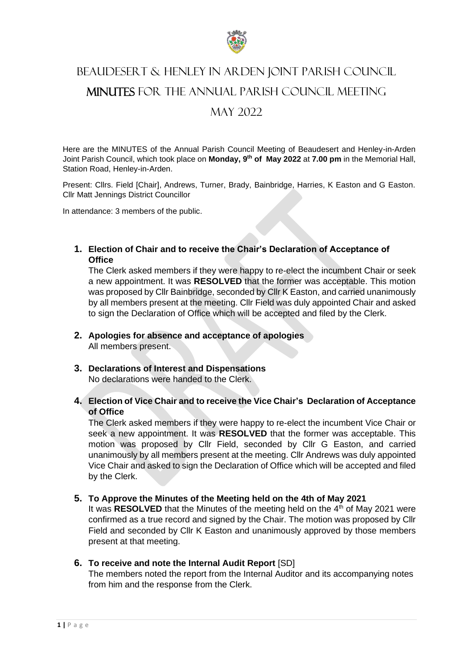

# BEAUDESERT & HENLEY IN ARDEN JOINT PARISH COUNCIL MINUTES FOR THE ANNUAL PARISH COUNCIL MEETING MAY 2022

Here are the MINUTES of the Annual Parish Council Meeting of Beaudesert and Henley-in-Arden Joint Parish Council, which took place on **Monday, 9th of May 2022** at **7.00 pm** in the Memorial Hall, Station Road, Henley-in-Arden.

Present: Cllrs. Field [Chair], Andrews, Turner, Brady, Bainbridge, Harries, K Easton and G Easton. Cllr Matt Jennings District Councillor

In attendance: 3 members of the public.

## **1. Election of Chair and to receive the Chair's Declaration of Acceptance of Office**

The Clerk asked members if they were happy to re-elect the incumbent Chair or seek a new appointment. It was **RESOLVED** that the former was acceptable. This motion was proposed by Cllr Bainbridge, seconded by Cllr K Easton, and carried unanimously by all members present at the meeting. Cllr Field was duly appointed Chair and asked to sign the Declaration of Office which will be accepted and filed by the Clerk.

- **2. Apologies for absence and acceptance of apologies** All members present.
- **3. Declarations of Interest and Dispensations**  No declarations were handed to the Clerk.
- **4. Election of Vice Chair and to receive the Vice Chair's Declaration of Acceptance of Office**

The Clerk asked members if they were happy to re-elect the incumbent Vice Chair or seek a new appointment. It was **RESOLVED** that the former was acceptable. This motion was proposed by Cllr Field, seconded by Cllr G Easton, and carried unanimously by all members present at the meeting. Cllr Andrews was duly appointed Vice Chair and asked to sign the Declaration of Office which will be accepted and filed by the Clerk.

## **5. To Approve the Minutes of the Meeting held on the 4th of May 2021**

It was **RESOLVED** that the Minutes of the meeting held on the 4<sup>th</sup> of May 2021 were confirmed as a true record and signed by the Chair. The motion was proposed by Cllr Field and seconded by Cllr K Easton and unanimously approved by those members present at that meeting.

## **6. To receive and note the Internal Audit Report** [SD]

The members noted the report from the Internal Auditor and its accompanying notes from him and the response from the Clerk.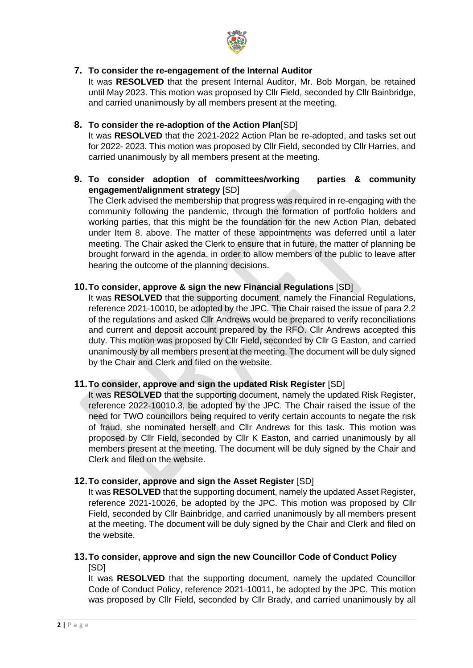

## **7. To consider the re-engagement of the Internal Auditor**

It was **RESOLVED** that the present Internal Auditor, Mr. Bob Morgan, be retained until May 2023. This motion was proposed by Cllr Field, seconded by Cllr Bainbridge, and carried unanimously by all members present at the meeting.

## **8. To consider the re-adoption of the Action Plan**[SD]

It was **RESOLVED** that the 2021-2022 Action Plan be re-adopted, and tasks set out for 2022- 2023. This motion was proposed by Cllr Field, seconded by Cllr Harries, and carried unanimously by all members present at the meeting.

**9. To consider adoption of committees/working parties & community engagement/alignment strategy** [SD]

The Clerk advised the membership that progress was required in re-engaging with the community following the pandemic, through the formation of portfolio holders and working parties, that this might be the foundation for the new Action Plan, debated under Item 8. above. The matter of these appointments was deferred until a later meeting. The Chair asked the Clerk to ensure that in future, the matter of planning be brought forward in the agenda, in order to allow members of the public to leave after hearing the outcome of the planning decisions.

## **10.To consider, approve & sign the new Financial Regulations** [SD]

It was **RESOLVED** that the supporting document, namely the Financial Regulations, reference 2021-10010, be adopted by the JPC. The Chair raised the issue of para 2.2 of the regulations and asked Cllr Andrews would be prepared to verify reconciliations and current and deposit account prepared by the RFO. Cllr Andrews accepted this duty. This motion was proposed by Cllr Field, seconded by Cllr G Easton, and carried unanimously by all members present at the meeting. The document will be duly signed by the Chair and Clerk and filed on the website.

## **11.To consider, approve and sign the updated Risk Register** [SD]

It was **RESOLVED** that the supporting document, namely the updated Risk Register, reference 2022-10010.3, be adopted by the JPC. The Chair raised the issue of the need for TWO councillors being required to verify certain accounts to negate the risk of fraud, she nominated herself and Cllr Andrews for this task. This motion was proposed by Cllr Field, seconded by Cllr K Easton, and carried unanimously by all members present at the meeting. The document will be duly signed by the Chair and Clerk and filed on the website.

## **12.To consider, approve and sign the Asset Register** [SD]

It was **RESOLVED** that the supporting document, namely the updated Asset Register, reference 2021-10026, be adopted by the JPC. This motion was proposed by Cllr Field, seconded by Cllr Bainbridge, and carried unanimously by all members present at the meeting. The document will be duly signed by the Chair and Clerk and filed on the website.

## **13.To consider, approve and sign the new Councillor Code of Conduct Policy** [SD]

It was **RESOLVED** that the supporting document, namely the updated Councillor Code of Conduct Policy, reference 2021-10011, be adopted by the JPC. This motion was proposed by Cllr Field, seconded by Cllr Brady, and carried unanimously by all